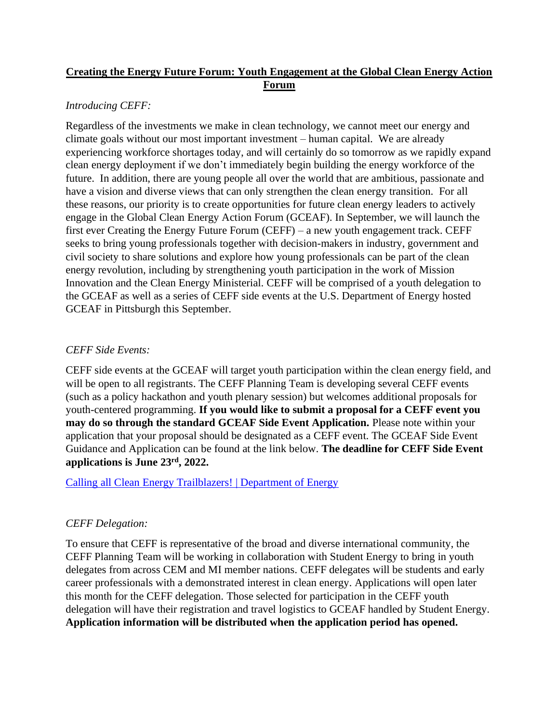# **Creating the Energy Future Forum: Youth Engagement at the Global Clean Energy Action Forum**

### *Introducing CEFF:*

Regardless of the investments we make in clean technology, we cannot meet our energy and climate goals without our most important investment – human capital. We are already experiencing workforce shortages today, and will certainly do so tomorrow as we rapidly expand clean energy deployment if we don't immediately begin building the energy workforce of the future. In addition, there are young people all over the world that are ambitious, passionate and have a vision and diverse views that can only strengthen the clean energy transition. For all these reasons, our priority is to create opportunities for future clean energy leaders to actively engage in the Global Clean Energy Action Forum (GCEAF). In September, we will launch the first ever Creating the Energy Future Forum (CEFF) – a new youth engagement track. CEFF seeks to bring young professionals together with decision-makers in industry, government and civil society to share solutions and explore how young professionals can be part of the clean energy revolution, including by strengthening youth participation in the work of Mission Innovation and the Clean Energy Ministerial. CEFF will be comprised of a youth delegation to the GCEAF as well as a series of CEFF side events at the U.S. Department of Energy hosted GCEAF in Pittsburgh this September.

## *CEFF Side Events:*

CEFF side events at the GCEAF will target youth participation within the clean energy field, and will be open to all registrants. The CEFF Planning Team is developing several CEFF events (such as a policy hackathon and youth plenary session) but welcomes additional proposals for youth-centered programming. **If you would like to submit a proposal for a CEFF event you may do so through the standard GCEAF Side Event Application.** Please note within your application that your proposal should be designated as a CEFF event. The GCEAF Side Event Guidance and Application can be found at the link below. **The deadline for CEFF Side Event applications is June 23rd, 2022.**

### [Calling all Clean Energy Trailblazers! | Department of Energy](https://www.energy.gov/ia/articles/calling-all-clean-energy-trailblazers)

### *CEFF Delegation:*

To ensure that CEFF is representative of the broad and diverse international community, the CEFF Planning Team will be working in collaboration with Student Energy to bring in youth delegates from across CEM and MI member nations. CEFF delegates will be students and early career professionals with a demonstrated interest in clean energy. Applications will open later this month for the CEFF delegation. Those selected for participation in the CEFF youth delegation will have their registration and travel logistics to GCEAF handled by Student Energy. **Application information will be distributed when the application period has opened.**